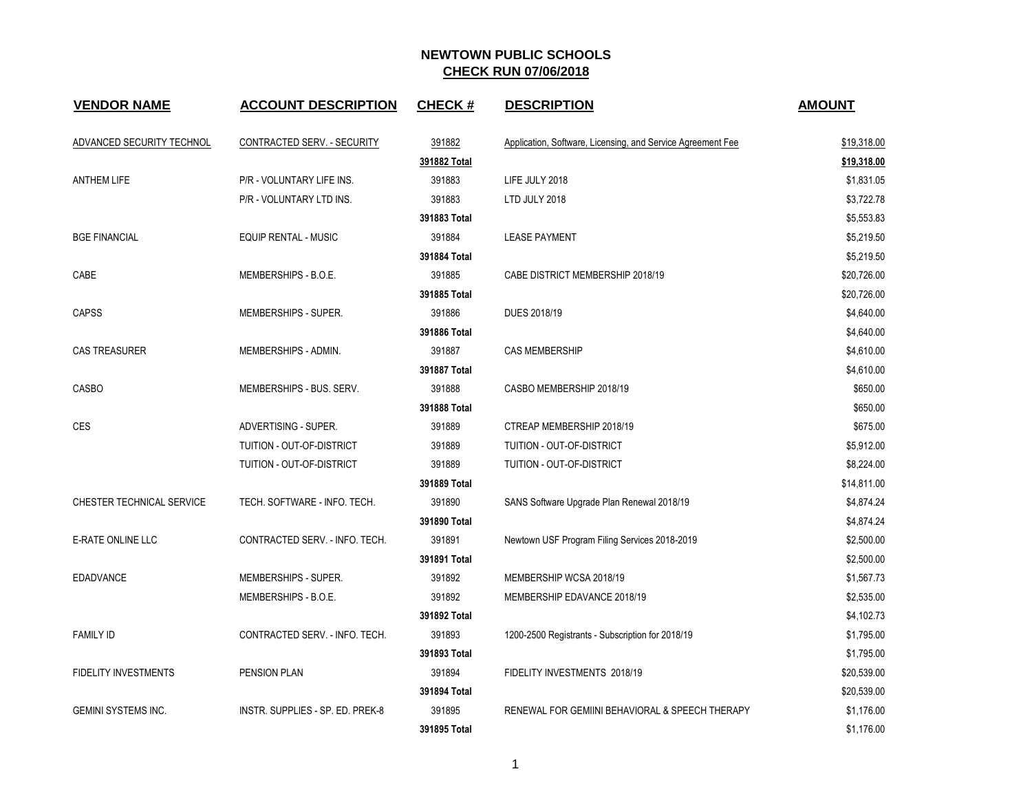## **NEWTOWN PUBLIC SCHOOLS CHECK RUN 07/06/2018**

| <b>VENDOR NAME</b>          | <b>ACCOUNT DESCRIPTION</b>       | <b>CHECK#</b> | <b>DESCRIPTION</b>                                          | <b>AMOUNT</b> |
|-----------------------------|----------------------------------|---------------|-------------------------------------------------------------|---------------|
| ADVANCED SECURITY TECHNOL   | CONTRACTED SERV. - SECURITY      | 391882        | Application, Software, Licensing, and Service Agreement Fee | \$19,318.00   |
|                             |                                  | 391882 Total  |                                                             | \$19,318.00   |
| <b>ANTHEM LIFE</b>          | P/R - VOLUNTARY LIFE INS.        | 391883        | LIFE JULY 2018                                              | \$1,831.05    |
|                             | P/R - VOLUNTARY LTD INS.         | 391883        | LTD JULY 2018                                               | \$3,722.78    |
|                             |                                  | 391883 Total  |                                                             | \$5,553.83    |
| <b>BGE FINANCIAL</b>        | <b>EQUIP RENTAL - MUSIC</b>      | 391884        | <b>LEASE PAYMENT</b>                                        | \$5,219.50    |
|                             |                                  | 391884 Total  |                                                             | \$5,219.50    |
| CABE                        | MEMBERSHIPS - B.O.E.             | 391885        | CABE DISTRICT MEMBERSHIP 2018/19                            | \$20,726.00   |
|                             |                                  | 391885 Total  |                                                             | \$20,726.00   |
| <b>CAPSS</b>                | MEMBERSHIPS - SUPER.             | 391886        | DUES 2018/19                                                | \$4,640.00    |
|                             |                                  | 391886 Total  |                                                             | \$4,640.00    |
| <b>CAS TREASURER</b>        | MEMBERSHIPS - ADMIN.             | 391887        | <b>CAS MEMBERSHIP</b>                                       | \$4,610.00    |
|                             |                                  | 391887 Total  |                                                             | \$4,610.00    |
| <b>CASBO</b>                | MEMBERSHIPS - BUS. SERV.         | 391888        | CASBO MEMBERSHIP 2018/19                                    | \$650.00      |
|                             |                                  | 391888 Total  |                                                             | \$650.00      |
| <b>CES</b>                  | ADVERTISING - SUPER.             | 391889        | CTREAP MEMBERSHIP 2018/19                                   | \$675.00      |
|                             | TUITION - OUT-OF-DISTRICT        | 391889        | TUITION - OUT-OF-DISTRICT                                   | \$5,912.00    |
|                             | TUITION - OUT-OF-DISTRICT        | 391889        | TUITION - OUT-OF-DISTRICT                                   | \$8,224.00    |
|                             |                                  | 391889 Total  |                                                             | \$14,811.00   |
| CHESTER TECHNICAL SERVICE   | TECH. SOFTWARE - INFO. TECH.     | 391890        | SANS Software Upgrade Plan Renewal 2018/19                  | \$4,874.24    |
|                             |                                  | 391890 Total  |                                                             | \$4,874.24    |
| E-RATE ONLINE LLC           | CONTRACTED SERV. - INFO. TECH.   | 391891        | Newtown USF Program Filing Services 2018-2019               | \$2,500.00    |
|                             |                                  | 391891 Total  |                                                             | \$2,500.00    |
| <b>EDADVANCE</b>            | MEMBERSHIPS - SUPER.             | 391892        | MEMBERSHIP WCSA 2018/19                                     | \$1,567.73    |
|                             | MEMBERSHIPS - B.O.E.             | 391892        | MEMBERSHIP EDAVANCE 2018/19                                 | \$2,535.00    |
|                             |                                  | 391892 Total  |                                                             | \$4,102.73    |
| <b>FAMILY ID</b>            | CONTRACTED SERV. - INFO. TECH.   | 391893        | 1200-2500 Registrants - Subscription for 2018/19            | \$1,795.00    |
|                             |                                  | 391893 Total  |                                                             | \$1,795.00    |
| <b>FIDELITY INVESTMENTS</b> | <b>PENSION PLAN</b>              | 391894        | FIDELITY INVESTMENTS 2018/19                                | \$20,539.00   |
|                             |                                  | 391894 Total  |                                                             | \$20,539.00   |
| <b>GEMINI SYSTEMS INC.</b>  | INSTR. SUPPLIES - SP. ED. PREK-8 | 391895        | RENEWAL FOR GEMIINI BEHAVIORAL & SPEECH THERAPY             | \$1,176.00    |
|                             |                                  | 391895 Total  |                                                             | \$1,176.00    |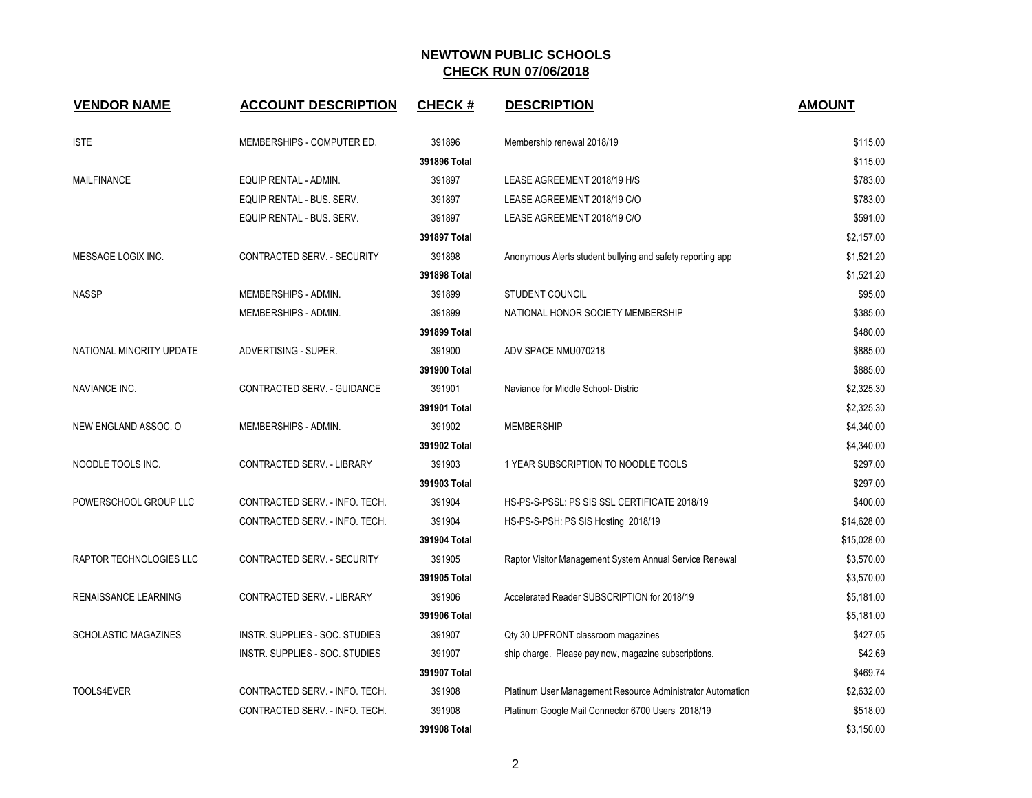## **NEWTOWN PUBLIC SCHOOLS CHECK RUN 07/06/2018**

| <b>VENDOR NAME</b>          | <b>ACCOUNT DESCRIPTION</b>     | <b>CHECK#</b> | <b>DESCRIPTION</b>                                         | <b>AMOUNT</b> |
|-----------------------------|--------------------------------|---------------|------------------------------------------------------------|---------------|
|                             |                                |               |                                                            |               |
| <b>ISTE</b>                 | MEMBERSHIPS - COMPUTER ED.     | 391896        | Membership renewal 2018/19                                 | \$115.00      |
|                             |                                | 391896 Total  |                                                            | \$115.00      |
| <b>MAILFINANCE</b>          | EQUIP RENTAL - ADMIN.          | 391897        | LEASE AGREEMENT 2018/19 H/S                                | \$783.00      |
|                             | EQUIP RENTAL - BUS. SERV.      | 391897        | LEASE AGREEMENT 2018/19 C/O                                | \$783.00      |
|                             | EQUIP RENTAL - BUS. SERV.      | 391897        | LEASE AGREEMENT 2018/19 C/O                                | \$591.00      |
|                             |                                | 391897 Total  |                                                            | \$2,157.00    |
| MESSAGE LOGIX INC.          | CONTRACTED SERV. - SECURITY    | 391898        | Anonymous Alerts student bullying and safety reporting app | \$1,521.20    |
|                             |                                | 391898 Total  |                                                            | \$1,521.20    |
| <b>NASSP</b>                | MEMBERSHIPS - ADMIN.           | 391899        | <b>STUDENT COUNCIL</b>                                     | \$95.00       |
|                             | MEMBERSHIPS - ADMIN.           | 391899        | NATIONAL HONOR SOCIETY MEMBERSHIP                          | \$385.00      |
|                             |                                | 391899 Total  |                                                            | \$480.00      |
| NATIONAL MINORITY UPDATE    | ADVERTISING - SUPER.           | 391900        | ADV SPACE NMU070218                                        | \$885.00      |
|                             |                                | 391900 Total  |                                                            | \$885.00      |
| <b>NAVIANCE INC.</b>        | CONTRACTED SERV. - GUIDANCE    | 391901        | Naviance for Middle School- Distric                        | \$2,325.30    |
|                             |                                | 391901 Total  |                                                            | \$2,325.30    |
| NEW ENGLAND ASSOC. O        | MEMBERSHIPS - ADMIN.           | 391902        | <b>MEMBERSHIP</b>                                          | \$4,340.00    |
|                             |                                | 391902 Total  |                                                            | \$4,340.00    |
| NOODLE TOOLS INC.           | CONTRACTED SERV. - LIBRARY     | 391903        | 1 YEAR SUBSCRIPTION TO NOODLE TOOLS                        | \$297.00      |
|                             |                                | 391903 Total  |                                                            | \$297.00      |
| POWERSCHOOL GROUP LLC       | CONTRACTED SERV. - INFO. TECH. | 391904        | HS-PS-S-PSSL: PS SIS SSL CERTIFICATE 2018/19               | \$400.00      |
|                             | CONTRACTED SERV. - INFO. TECH. | 391904        | HS-PS-S-PSH: PS SIS Hosting 2018/19                        | \$14,628.00   |
|                             |                                | 391904 Total  |                                                            | \$15,028.00   |
| RAPTOR TECHNOLOGIES LLC     | CONTRACTED SERV. - SECURITY    | 391905        | Raptor Visitor Management System Annual Service Renewal    | \$3,570.00    |
|                             |                                | 391905 Total  |                                                            | \$3,570.00    |
| RENAISSANCE LEARNING        | CONTRACTED SERV. - LIBRARY     | 391906        | Accelerated Reader SUBSCRIPTION for 2018/19                | \$5,181.00    |
|                             |                                | 391906 Total  |                                                            | \$5,181.00    |
| <b>SCHOLASTIC MAGAZINES</b> | INSTR. SUPPLIES - SOC. STUDIES | 391907        | Qty 30 UPFRONT classroom magazines                         | \$427.05      |
|                             | INSTR. SUPPLIES - SOC. STUDIES | 391907        | ship charge. Please pay now, magazine subscriptions.       | \$42.69       |
|                             |                                | 391907 Total  |                                                            | \$469.74      |
| TOOLS4EVER                  | CONTRACTED SERV. - INFO. TECH. | 391908        | Platinum User Management Resource Administrator Automation | \$2,632.00    |
|                             | CONTRACTED SERV. - INFO. TECH. | 391908        | Platinum Google Mail Connector 6700 Users 2018/19          | \$518.00      |
|                             |                                | 391908 Total  |                                                            | \$3,150.00    |